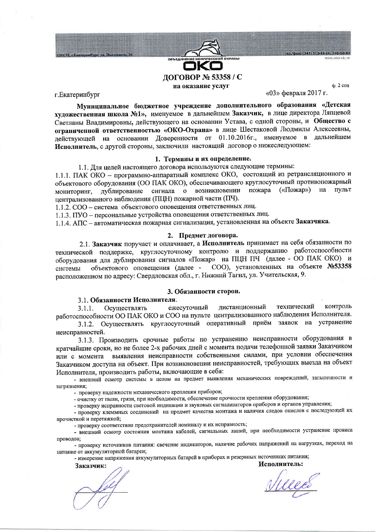

г. Екатеринбург

20072, г. Екатері

 $\ddot{a}$ .  $2$  cou

«03» февраля 2017 г.

Муниципальное бюджетное учреждение дополнительного образования «Детская художественная школа №1», именуемое в дальнейшем Заказчик, в лице директора Ляпцевой Светланы Владимировны, действующего на основании Устава, с одной стороны, и Общество с ограниченной ответственностью «ОКО-Охрана» в лице Шестаковой Людмилы Алексеевны, действующей на основании Доверенности от 01.10.2016г., именуемое в дальнейшем Исполнитель, с другой стороны, заключили настоящий договор о нижеследующем:

# 1. Термины и их определение.

1.1. Для целей настоящего договора используются следующие термины:

1.1.1. ПАК ОКО - программно-аппаратный комплекс ОКО, состоящий из ретрансляционного и объектового оборудования (ОО ПАК ОКО), обеспечивающего круглосуточный противопожарный мониторинг, дублирование сигнала о возникновении пожара («Пожар») на ПУЛЬТ централизованного наблюдения (ПЦН) пожарной части (ПЧ).

1.1.2. СОО - система объектового оповещения ответственных лиц.

1.1.3. ПУО - персональные устройства оповещения ответственных лиц.

1.1.4. АПС - автоматическая пожарная сигнализация, установленная на объекте Заказчика.

#### 2. Предмет договора.

2.1. Заказчик поручает и оплачивает, а Исполнитель принимает на себя обязанности по технической поддержке, круглосуточному контролю и поддержанию работоспособности оборудования для дублирования сигналов «Пожар» на ПЦН ПЧ (далее - ОО ПАК ОКО) и объектового оповещения (далее - СОО), установленных на объекте №53358 системы расположенном по адресу: Свердловская обл., г. Нижний Тагил, ул. Учительская, 9.

## 3. Обязанности сторон.

### 3.1. Обязанности Исполнителя.

дистанционный технический контроль ежесуточный  $3.1.1.$ Осуществлять работоспособности ОО ПАК ОКО и СОО на пульте централизованного наблюдения Исполнителя.

3.1.2. Осуществлять круглосуточный оперативный приём заявок на устранение неисправностей.

3.1.3. Производить срочные работы по устранению неисправности оборудования в кратчайшие сроки, но не более 2-х рабочих дней с момента подачи телефонной заявки Заказчиком или с момента выявления неисправности собственными силами, при условии обеспечения Заказчиком доступа на объект. При возникновении неисправностей, требующих выезда на объект Исполнителя, производить работы, включающие в себя:

- внешний осмотр системы в целом на предмет выявления механических повреждений, запыленности и загрязнения;

- проверку надежности механического крепления приборов;

- очистку от пыли, грязи, при необходимости, обеспечение прочности крепления оборудования;

- проверку исправности световой индикации и звуковых сигнализаторов приборов и органов управления;

- проверку клеммных соединений на предмет качества монтажа и наличия следов окислов с последующей их прочисткой и перетяжкой;

- проверку соответствия предохранителей номиналу и их исправность;

- внешний осмотр состояния монтажа кабелей, сигнальных линий, при необходимости устранение провиса проводов;

- проверку источников питания: свечение индикаторов, наличие рабочих напряжений на нагрузках, переход на питание от аккумуляторной батареи;

- измерение напряжения аккумуляторных батарей в приборах и резервных источниках питания;

Заказчик:

Ville

Исполнитель: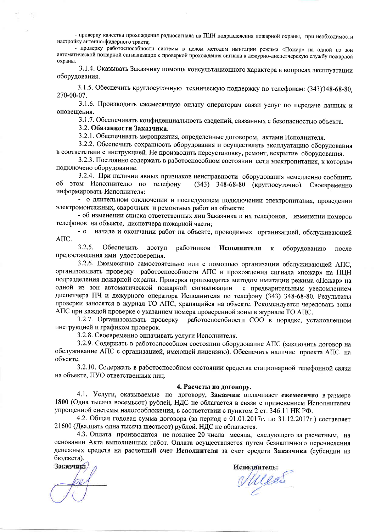- проверку качества прохождения радиосигнала на ПЦН подразделения пожарной охраны, при необходимости настройку антенно-фидерного тракта:

- проверку работоспособности системы в целом методом имитации режима «Пожар» на одной из зон автоматической пожарной сигнализации с проверкой прохождения сигнала в дежурно-диспетчерскую службу пожарной охраны.

3.1.4. Оказывать Заказчику помощь консультационного характера в вопросах эксплуатации оборудования.

3.1.5. Обеспечить круглосуточную техническую поддержку по телефонам: (343)348-68-80, 270-00-07.

3.1.6. Производить ежемесячную оплату операторам связи услуг по передаче данных и оповешения.

3.1.7. Обеспечивать конфиденциальность сведений, связанных с безопасностью объекта.

### 3.2. Обязанности Заказчика.

3.2.1. Обеспечивать мероприятия, определенные договором, актами Исполнителя.

3.2.2. Обеспечить сохранность оборудования и осуществлять эксплуатацию оборудования в соответствии с инструкцией. Не производить переустановку, ремонт, вскрытие оборудования.

3.2.3. Постоянно содержать в работоспособном состоянии сети электропитания, к которым подключено оборудование.

3.2.4. При наличии явных признаков неисправности оборудования немедленно сообщить об этом Исполнителю по телефону (343) 348-68-80 (круглосуточно). Своевременно информировать Исполнителя:

- о длительном отключении и последующем подключении электропитания, проведении электромонтажных, сварочных и ремонтных работ на объекте;

- об изменении списка ответственных лиц Заказчика и их телефонов, изменении номеров телефонов на объекте, диспетчера пожарной части;

- о начале и окончании работ на объекте, проводимых организацией, обслуживающей AΠC.

 $3.2.5.$ Обеспечить доступ работников Исполнителя  $\bf K$ оборудованию после предоставления ими удостоверения.

3.2.6. Ежемесячно самостоятельно или с помощью организации обслуживающей АПС. организовывать проверку работоспособности АПС и прохождения сигнала «пожар» на ПЦН подразделения пожарной охраны. Проверка производится методом имитации режима «Пожар» на одной из зон автоматической пожарной сигнализации с предварительным уведомлением диспетчера ПЧ и дежурного оператора Исполнителя по телефону (343) 348-68-80. Результаты проверки заносятся в журнал ТО АПС, хранящийся на объекте. Рекомендуется чередовать зоны АПС при каждой проверке с указанием номера проверенной зоны в журнале ТО АПС.

3.2.7. Организовывать проверку работоспособности СОО в порядке, установленном инструкцией и графиком проверок.

3.2.8. Своевременно оплачивать услуги Исполнителя.

3.2.9. Содержать в работоспособном состоянии оборудование АПС (заключить договор на обслуживание АПС с организацией, имеющей лицензию). Обеспечить наличие проекта АПС на объекте.

3.2.10. Содержать в работоспособном состоянии средства стационарной телефонной связи на объекте, ПУО ответственных лиц.

### 4. Расчеты по договору.

4.1. Услуги, оказываемые по договору, Заказчик оплачивает ежемесячно в размере 1800 (Одна тысяча восемьсот) рублей, НДС не облагается в связи с применением Исполнителем упрощенной системы налогообложения, в соответствии с пунктом 2 ст. 346.11 НК РФ.

4.2. Общая годовая сумма договора (за период с 01.01.2017г. по 31.12.2017г.) составляет 21600 (Двадцать одна тысяча шестьсот) рублей. НДС не облагается.

4.3. Оплата производится не позднее 20 числа месяца, следующего за расчетным, на основании Акта выполненных работ. Оплата осуществляется путем безналичного перечисления денежных средств на расчетный счет Исполнителя за счет средств Заказчика (субсидии из бюджета).

Заказчик:

Mes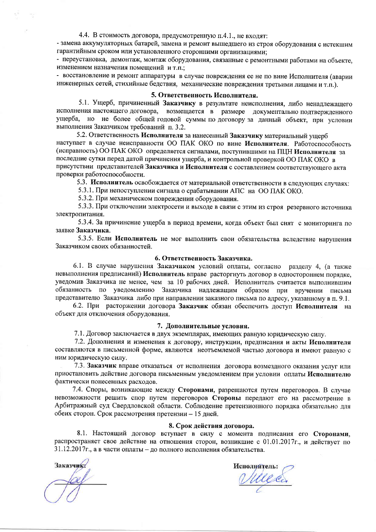4.4. В стоимость договора, предусмотренную п.4.1., не входят:

- замена аккумуляторных батарей, замена и ремонт вышедшего из строя оборудования с истекшим гарантийным сроком или установленного сторонними организациями;

- переустановка, демонтаж, монтаж оборудования, связанные с ремонтными работами на объекте, изменением назначения помешений и т.п.:

- восстановление и ремонт аппаратуры в случае повреждения ее не по вине Исполнителя (аварии инженерных сетей, стихийные бедствия, механические повреждения третьими лицами и т.п.).

# 5. Ответственность Исполнителя.

5.1. Ущерб, причиненный Заказчику в результате неисполнения, либо ненадлежащего исполнения настоящего договора, возмещается в размере документально подтвержденного ущерба, но не более общей годовой суммы по договору за данный объект, при условии выполнения Заказчиком требований п. 3.2.

5.2. Ответственность Исполнителя за нанесенный Заказчику материальный ущерб наступает в случае неисправности ОО ПАК ОКО по вине Исполнителя. Работоспособность (исправность) ОО ПАК ОКО определяется сигналами, поступившими на ПЦН Исполнителя за последние сутки перед датой причинения ущерба, и контрольной проверкой ОО ПАК ОКО в присутствии представителей Заказчика и Исполнителя с составлением соответствующего акта проверки работоспособности.

5.3. Исполнитель освобождается от материальной ответственности в следующих случаях:

5.3.1. При непоступлении сигнала о срабатывании АПС на ОО ПАК ОКО.

5.3.2. При механическом повреждении оборудования.

5.3.3. При отключении электросети и выходе в связи с этим из строя резервного источника электропитания.

5.3.4. За причинение ущерба в период времени, когда объект был снят с мониторинга по заявке Заказчика.

5.3.5. Если Исполнитель не мог выполнить свои обязательства вследствие нарушения Заказчиком своих обязанностей.

#### 6. Ответственность Заказчика.

6.1. В случае нарушения Заказчиком условий оплаты, согласно разделу 4, (а также невыполнения предписаний) Исполнитель вправе расторгнуть договор в одностороннем порядке. уведомив Заказчика не менее, чем за 10 рабочих дней. Исполнитель считается выполнившим обязанность по уведомлению Заказчика надлежащим образом при вручении письма представителю Заказчика либо при направлении заказного письма по адресу, указанному в п. 9.1.

6.2. При расторжении договора Заказчик обязан обеспечить доступ Исполнителя на объект для отключения оборудования.

#### 7. Дополнительные условия.

7.1. Договор заключается в двух экземплярах, имеющих равную юридическую силу.

7.2. Дополнения и изменения к договору, инструкции, предписания и акты Исполнителя составляются в письменной форме, являются неотъемлемой частью договора и имеют равную с ним юридическую силу.

7.3. Заказчик вправе отказаться от исполнения договора возмездного оказания услуг или приостановить действие договора письменным уведомлением при условии оплаты Исполнителю фактически понесенных расходов.

7.4. Споры, возникающие между Сторонами, разрешаются путем переговоров. В случае невозможности решить спор путем переговоров Стороны передают его на рассмотрение в Арбитражный суд Свердловской области. Соблюдение претензионного порядка обязательно для обеих сторон. Срок рассмотрения претензии - 15 дней.

### 8. Срок действия договора.

8.1. Настоящий договор вступает в силу с момента подписания его Сторонами, распространяет свое действие на отношения сторон, возникшие с 01.01.2017г., и действует по 31.12.2017г., а в части оплаты - до полного исполнения обязательства.

Заказчика

Mes